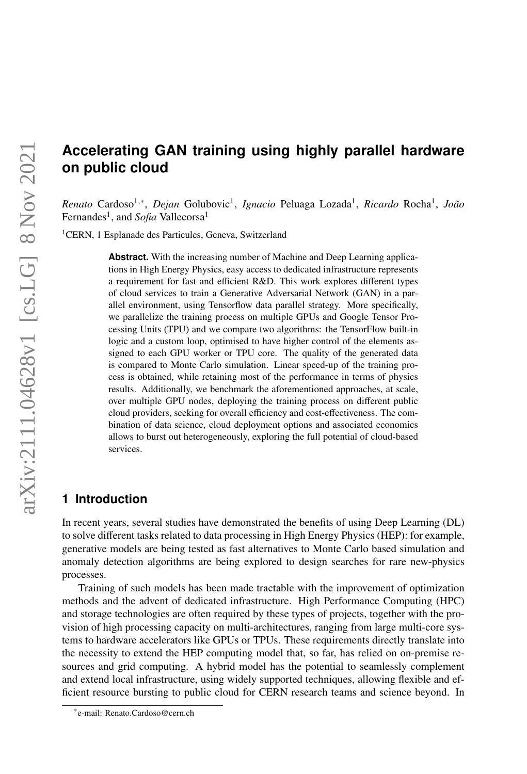# **Accelerating GAN training using highly parallel hardware on public cloud**

*Renato* Cardoso<sup>1,∗</sup>, *Dejan* Golubovic<sup>1</sup>, *Ignacio* Peluaga Lozada<sup>1</sup>, *Ricardo* Rocha<sup>1</sup>, *João* Fernandes<sup>1</sup>, and *Sofia* Vallecorsa<sup>1</sup>

<sup>1</sup>CERN, 1 Esplanade des Particules, Geneva, Switzerland

**Abstract.** With the increasing number of Machine and Deep Learning applications in High Energy Physics, easy access to dedicated infrastructure represents a requirement for fast and efficient R&D. This work explores different types of cloud services to train a Generative Adversarial Network (GAN) in a parallel environment, using Tensorflow data parallel strategy. More specifically, we parallelize the training process on multiple GPUs and Google Tensor Processing Units (TPU) and we compare two algorithms: the TensorFlow built-in logic and a custom loop, optimised to have higher control of the elements assigned to each GPU worker or TPU core. The quality of the generated data is compared to Monte Carlo simulation. Linear speed-up of the training process is obtained, while retaining most of the performance in terms of physics results. Additionally, we benchmark the aforementioned approaches, at scale, over multiple GPU nodes, deploying the training process on different public cloud providers, seeking for overall efficiency and cost-effectiveness. The combination of data science, cloud deployment options and associated economics allows to burst out heterogeneously, exploring the full potential of cloud-based services.

### **1 Introduction**

In recent years, several studies have demonstrated the benefits of using Deep Learning (DL) to solve different tasks related to data processing in High Energy Physics (HEP): for example, generative models are being tested as fast alternatives to Monte Carlo based simulation and anomaly detection algorithms are being explored to design searches for rare new-physics processes.

Training of such models has been made tractable with the improvement of optimization methods and the advent of dedicated infrastructure. High Performance Computing (HPC) and storage technologies are often required by these types of projects, together with the provision of high processing capacity on multi-architectures, ranging from large multi-core systems to hardware accelerators like GPUs or TPUs. These requirements directly translate into the necessity to extend the HEP computing model that, so far, has relied on on-premise resources and grid computing. A hybrid model has the potential to seamlessly complement and extend local infrastructure, using widely supported techniques, allowing flexible and efficient resource bursting to public cloud for CERN research teams and science beyond. In

<sup>∗</sup> e-mail: Renato.Cardoso@cern.ch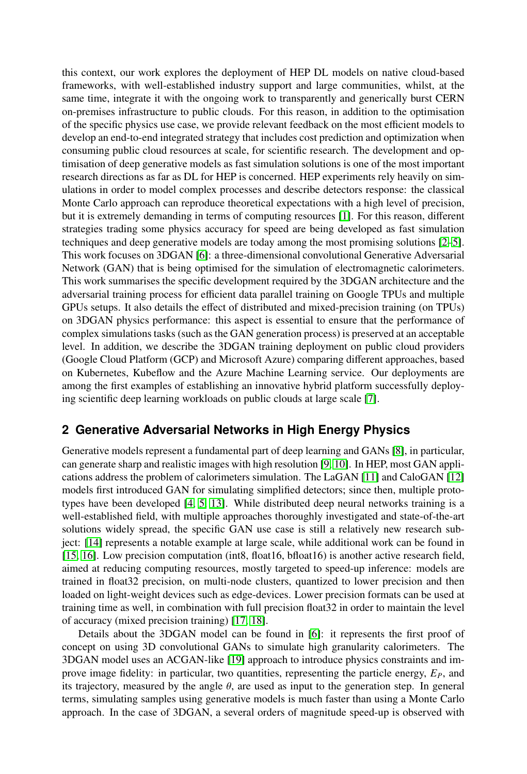this context, our work explores the deployment of HEP DL models on native cloud-based frameworks, with well-established industry support and large communities, whilst, at the same time, integrate it with the ongoing work to transparently and generically burst CERN on-premises infrastructure to public clouds. For this reason, in addition to the optimisation of the specific physics use case, we provide relevant feedback on the most efficient models to develop an end-to-end integrated strategy that includes cost prediction and optimization when consuming public cloud resources at scale, for scientific research. The development and optimisation of deep generative models as fast simulation solutions is one of the most important research directions as far as DL for HEP is concerned. HEP experiments rely heavily on simulations in order to model complex processes and describe detectors response: the classical Monte Carlo approach can reproduce theoretical expectations with a high level of precision, but it is extremely demanding in terms of computing resources [\[1\]](#page-9-0). For this reason, different strategies trading some physics accuracy for speed are being developed as fast simulation techniques and deep generative models are today among the most promising solutions [\[2](#page-9-1)[–5\]](#page-9-2). This work focuses on 3DGAN [\[6\]](#page-9-3): a three-dimensional convolutional Generative Adversarial Network (GAN) that is being optimised for the simulation of electromagnetic calorimeters. This work summarises the specific development required by the 3DGAN architecture and the adversarial training process for efficient data parallel training on Google TPUs and multiple GPUs setups. It also details the effect of distributed and mixed-precision training (on TPUs) on 3DGAN physics performance: this aspect is essential to ensure that the performance of complex simulations tasks (such as the GAN generation process) is preserved at an acceptable level. In addition, we describe the 3DGAN training deployment on public cloud providers (Google Cloud Platform (GCP) and Microsoft Azure) comparing different approaches, based on Kubernetes, Kubeflow and the Azure Machine Learning service. Our deployments are among the first examples of establishing an innovative hybrid platform successfully deploying scientific deep learning workloads on public clouds at large scale [\[7\]](#page-9-4).

# **2 Generative Adversarial Networks in High Energy Physics**

Generative models represent a fundamental part of deep learning and GANs [\[8\]](#page-10-0), in particular, can generate sharp and realistic images with high resolution [\[9,](#page-10-1) [10\]](#page-10-2). In HEP, most GAN applications address the problem of calorimeters simulation. The LaGAN [\[11\]](#page-10-3) and CaloGAN [\[12\]](#page-10-4) models first introduced GAN for simulating simplified detectors; since then, multiple prototypes have been developed [\[4,](#page-9-5) [5,](#page-9-2) [13\]](#page-10-5). While distributed deep neural networks training is a well-established field, with multiple approaches thoroughly investigated and state-of-the-art solutions widely spread, the specific GAN use case is still a relatively new research subject: [\[14\]](#page-10-6) represents a notable example at large scale, while additional work can be found in [\[15,](#page-10-7) [16\]](#page-10-8). Low precision computation (int8, float16, bfloat16) is another active research field, aimed at reducing computing resources, mostly targeted to speed-up inference: models are trained in float32 precision, on multi-node clusters, quantized to lower precision and then loaded on light-weight devices such as edge-devices. Lower precision formats can be used at training time as well, in combination with full precision float32 in order to maintain the level of accuracy (mixed precision training) [\[17,](#page-10-9) [18\]](#page-10-10).

Details about the 3DGAN model can be found in [\[6\]](#page-9-3): it represents the first proof of concept on using 3D convolutional GANs to simulate high granularity calorimeters. The 3DGAN model uses an ACGAN-like [\[19\]](#page-10-11) approach to introduce physics constraints and improve image fidelity: in particular, two quantities, representing the particle energy, *EP*, and its trajectory, measured by the angle  $\theta$ , are used as input to the generation step. In general terms, simulating samples using generative models is much faster than using a Monte Carlo approach. In the case of 3DGAN, a several orders of magnitude speed-up is observed with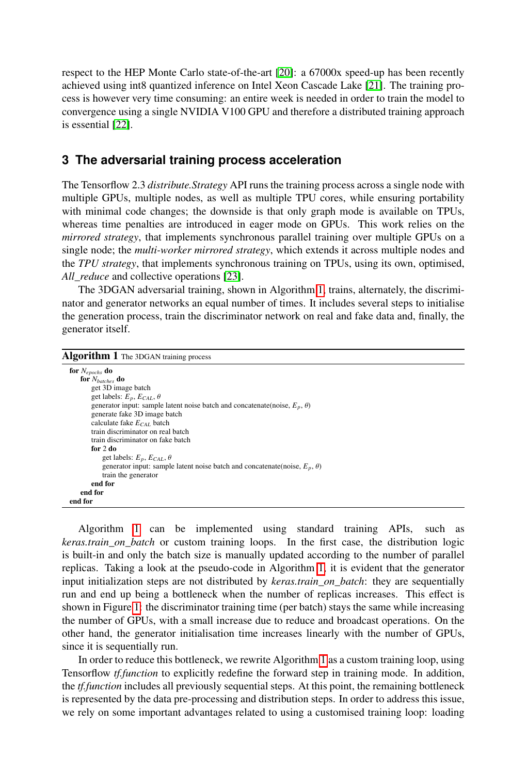respect to the HEP Monte Carlo state-of-the-art [\[20\]](#page-10-12): a 67000x speed-up has been recently achieved using int8 quantized inference on Intel Xeon Cascade Lake [\[21\]](#page-10-13). The training process is however very time consuming: an entire week is needed in order to train the model to convergence using a single NVIDIA V100 GPU and therefore a distributed training approach is essential [\[22\]](#page-10-14).

### **3 The adversarial training process acceleration**

The Tensorflow 2.3 *distribute.Strategy* API runs the training process across a single node with multiple GPUs, multiple nodes, as well as multiple TPU cores, while ensuring portability with minimal code changes; the downside is that only graph mode is available on TPUs, whereas time penalties are introduced in eager mode on GPUs. This work relies on the *mirrored strategy*, that implements synchronous parallel training over multiple GPUs on a single node; the *multi-worker mirrored strategy*, which extends it across multiple nodes and the *TPU strategy*, that implements synchronous training on TPUs, using its own, optimised, *All\_reduce* and collective operations [\[23\]](#page-10-15).

The 3DGAN adversarial training, shown in Algorithm [1,](#page-2-0) trains, alternately, the discriminator and generator networks an equal number of times. It includes several steps to initialise the generation process, train the discriminator network on real and fake data and, finally, the generator itself.

<span id="page-2-0"></span>

| Algorithm 1 The 3DGAN training process |  |  |
|----------------------------------------|--|--|
|----------------------------------------|--|--|

| for $N_{epochs}$ do                                                                  |
|--------------------------------------------------------------------------------------|
| for $N_{batches}$ do                                                                 |
| get 3D image batch                                                                   |
| get labels: $E_p$ , $E_{CAL}$ , $\theta$                                             |
| generator input: sample latent noise batch and concatenate(noise, $E_n$ , $\theta$ ) |
| generate fake 3D image batch                                                         |
| calculate fake $E_{CAI}$ batch                                                       |
| train discriminator on real batch                                                    |
| train discriminator on fake batch                                                    |
| for 2 do                                                                             |
| get labels: $E_p$ , $E_{CAL}$ , $\theta$                                             |
| generator input: sample latent noise batch and concatenate(noise, $E_p$ , $\theta$ ) |
| train the generator                                                                  |
| end for                                                                              |
| end for                                                                              |
| end for                                                                              |

Algorithm [1](#page-2-0) can be implemented using standard training APIs, such as *keras.train\_on\_batch* or custom training loops. In the first case, the distribution logic is built-in and only the batch size is manually updated according to the number of parallel replicas. Taking a look at the pseudo-code in Algorithm [1,](#page-2-0) it is evident that the generator input initialization steps are not distributed by *keras.train\_on\_batch*: they are sequentially run and end up being a bottleneck when the number of replicas increases. This effect is shown in Figure [1:](#page-3-0) the discriminator training time (per batch) stays the same while increasing the number of GPUs, with a small increase due to reduce and broadcast operations. On the other hand, the generator initialisation time increases linearly with the number of GPUs, since it is sequentially run.

In order to reduce this bottleneck, we rewrite Algorithm [1](#page-2-0) as a custom training loop, using Tensorflow *tf.function* to explicitly redefine the forward step in training mode. In addition, the *tf.function* includes all previously sequential steps. At this point, the remaining bottleneck is represented by the data pre-processing and distribution steps. In order to address this issue, we rely on some important advantages related to using a customised training loop: loading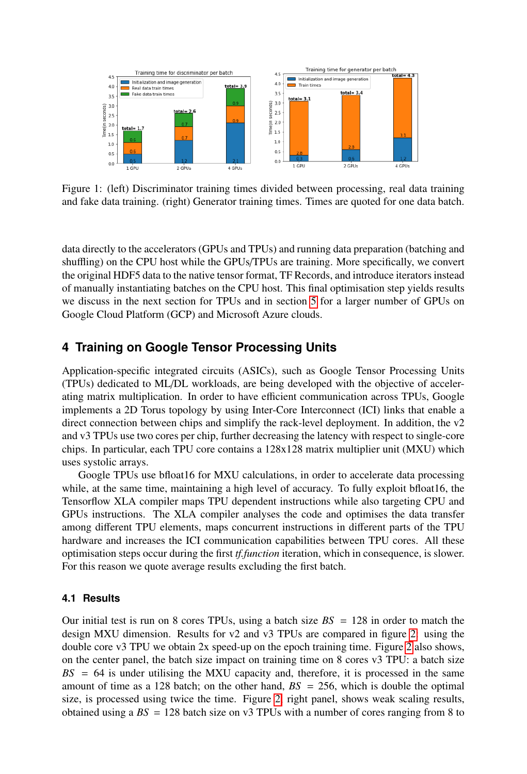<span id="page-3-0"></span>

Figure 1: (left) Discriminator training times divided between processing, real data training and fake data training. (right) Generator training times. Times are quoted for one data batch.

data directly to the accelerators (GPUs and TPUs) and running data preparation (batching and shuffling) on the CPU host while the GPUs/TPUs are training. More specifically, we convert the original HDF5 data to the native tensor format, TF Records, and introduce iterators instead of manually instantiating batches on the CPU host. This final optimisation step yields results we discuss in the next section for TPUs and in section [5](#page-4-0) for a larger number of GPUs on Google Cloud Platform (GCP) and Microsoft Azure clouds.

### **4 Training on Google Tensor Processing Units**

Application-specific integrated circuits (ASICs), such as Google Tensor Processing Units (TPUs) dedicated to ML/DL workloads, are being developed with the objective of accelerating matrix multiplication. In order to have efficient communication across TPUs, Google implements a 2D Torus topology by using Inter-Core Interconnect (ICI) links that enable a direct connection between chips and simplify the rack-level deployment. In addition, the v2 and v3 TPUs use two cores per chip, further decreasing the latency with respect to single-core chips. In particular, each TPU core contains a 128x128 matrix multiplier unit (MXU) which uses systolic arrays.

Google TPUs use bfloat16 for MXU calculations, in order to accelerate data processing while, at the same time, maintaining a high level of accuracy. To fully exploit bfloat16, the Tensorflow XLA compiler maps TPU dependent instructions while also targeting CPU and GPUs instructions. The XLA compiler analyses the code and optimises the data transfer among different TPU elements, maps concurrent instructions in different parts of the TPU hardware and increases the ICI communication capabilities between TPU cores. All these optimisation steps occur during the first *tf.function* iteration, which in consequence, is slower. For this reason we quote average results excluding the first batch.

#### **4.1 Results**

Our initial test is run on 8 cores TPUs, using a batch size  $BS = 128$  in order to match the design MXU dimension. Results for v2 and v3 TPUs are compared in figure [2:](#page-4-1) using the double core v3 TPU we obtain 2x speed-up on the epoch training time. Figure [2](#page-4-1) also shows, on the center panel, the batch size impact on training time on 8 cores v3 TPU: a batch size  $BS = 64$  is under utilising the MXU capacity and, therefore, it is processed in the same amount of time as a 128 batch; on the other hand,  $BS = 256$ , which is double the optimal size, is processed using twice the time. Figure [2,](#page-4-1) right panel, shows weak scaling results, obtained using a  $BS = 128$  batch size on v3 TPUs with a number of cores ranging from 8 to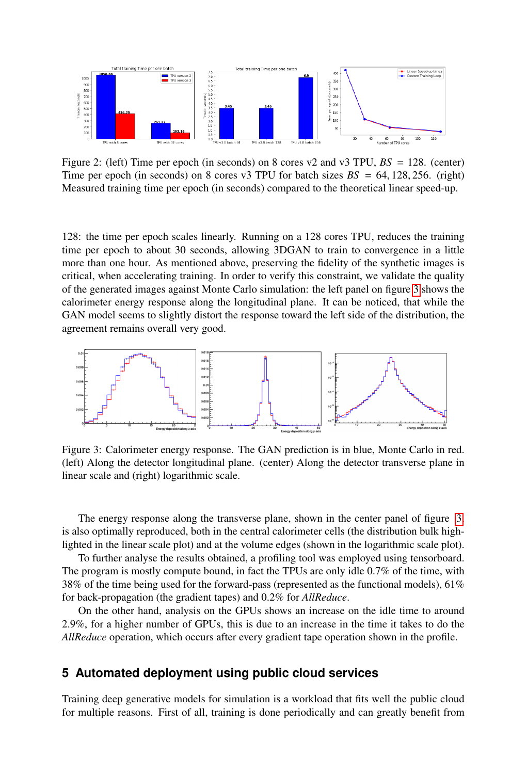<span id="page-4-1"></span>

Figure 2: (left) Time per epoch (in seconds) on 8 cores v2 and v3 TPU, *BS* = 128. (center) Time per epoch (in seconds) on 8 cores v3 TPU for batch sizes  $BS = 64, 128, 256$ . (right) Measured training time per epoch (in seconds) compared to the theoretical linear speed-up.

128: the time per epoch scales linearly. Running on a 128 cores TPU, reduces the training time per epoch to about 30 seconds, allowing 3DGAN to train to convergence in a little more than one hour. As mentioned above, preserving the fidelity of the synthetic images is critical, when accelerating training. In order to verify this constraint, we validate the quality of the generated images against Monte Carlo simulation: the left panel on figure [3](#page-4-2) shows the calorimeter energy response along the longitudinal plane. It can be noticed, that while the GAN model seems to slightly distort the response toward the left side of the distribution, the agreement remains overall very good.

<span id="page-4-2"></span>

Figure 3: Calorimeter energy response. The GAN prediction is in blue, Monte Carlo in red. (left) Along the detector longitudinal plane. (center) Along the detector transverse plane in linear scale and (right) logarithmic scale.

The energy response along the transverse plane, shown in the center panel of figure [3,](#page-4-2) is also optimally reproduced, both in the central calorimeter cells (the distribution bulk highlighted in the linear scale plot) and at the volume edges (shown in the logarithmic scale plot).

To further analyse the results obtained, a profiling tool was employed using tensorboard. The program is mostly compute bound, in fact the TPUs are only idle 0.7% of the time, with 38% of the time being used for the forward-pass (represented as the functional models), 61% for back-propagation (the gradient tapes) and 0.2% for *AllReduce*.

On the other hand, analysis on the GPUs shows an increase on the idle time to around 2.9%, for a higher number of GPUs, this is due to an increase in the time it takes to do the *AllReduce* operation, which occurs after every gradient tape operation shown in the profile.

# <span id="page-4-0"></span>**5 Automated deployment using public cloud services**

Training deep generative models for simulation is a workload that fits well the public cloud for multiple reasons. First of all, training is done periodically and can greatly benefit from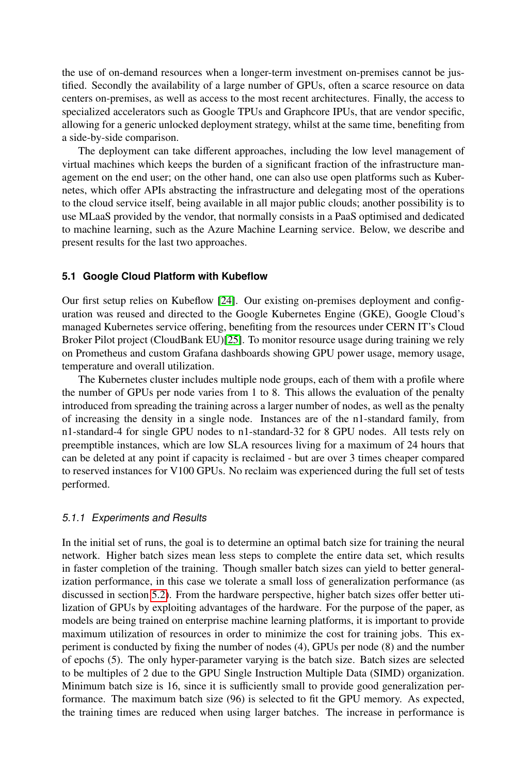the use of on-demand resources when a longer-term investment on-premises cannot be justified. Secondly the availability of a large number of GPUs, often a scarce resource on data centers on-premises, as well as access to the most recent architectures. Finally, the access to specialized accelerators such as Google TPUs and Graphcore IPUs, that are vendor specific, allowing for a generic unlocked deployment strategy, whilst at the same time, benefiting from a side-by-side comparison.

The deployment can take different approaches, including the low level management of virtual machines which keeps the burden of a significant fraction of the infrastructure management on the end user; on the other hand, one can also use open platforms such as Kubernetes, which offer APIs abstracting the infrastructure and delegating most of the operations to the cloud service itself, being available in all major public clouds; another possibility is to use MLaaS provided by the vendor, that normally consists in a PaaS optimised and dedicated to machine learning, such as the Azure Machine Learning service. Below, we describe and present results for the last two approaches.

#### **5.1 Google Cloud Platform with Kubeflow**

Our first setup relies on Kubeflow [\[24\]](#page-10-16). Our existing on-premises deployment and configuration was reused and directed to the Google Kubernetes Engine (GKE), Google Cloud's managed Kubernetes service offering, benefiting from the resources under CERN IT's Cloud Broker Pilot project (CloudBank EU)[\[25\]](#page-10-17). To monitor resource usage during training we rely on Prometheus and custom Grafana dashboards showing GPU power usage, memory usage, temperature and overall utilization.

The Kubernetes cluster includes multiple node groups, each of them with a profile where the number of GPUs per node varies from 1 to 8. This allows the evaluation of the penalty introduced from spreading the training across a larger number of nodes, as well as the penalty of increasing the density in a single node. Instances are of the n1-standard family, from n1-standard-4 for single GPU nodes to n1-standard-32 for 8 GPU nodes. All tests rely on preemptible instances, which are low SLA resources living for a maximum of 24 hours that can be deleted at any point if capacity is reclaimed - but are over 3 times cheaper compared to reserved instances for V100 GPUs. No reclaim was experienced during the full set of tests performed.

#### 5.1.1 Experiments and Results

In the initial set of runs, the goal is to determine an optimal batch size for training the neural network. Higher batch sizes mean less steps to complete the entire data set, which results in faster completion of the training. Though smaller batch sizes can yield to better generalization performance, in this case we tolerate a small loss of generalization performance (as discussed in section [5.2\)](#page-7-0). From the hardware perspective, higher batch sizes offer better utilization of GPUs by exploiting advantages of the hardware. For the purpose of the paper, as models are being trained on enterprise machine learning platforms, it is important to provide maximum utilization of resources in order to minimize the cost for training jobs. This experiment is conducted by fixing the number of nodes (4), GPUs per node (8) and the number of epochs (5). The only hyper-parameter varying is the batch size. Batch sizes are selected to be multiples of 2 due to the GPU Single Instruction Multiple Data (SIMD) organization. Minimum batch size is 16, since it is sufficiently small to provide good generalization performance. The maximum batch size (96) is selected to fit the GPU memory. As expected, the training times are reduced when using larger batches. The increase in performance is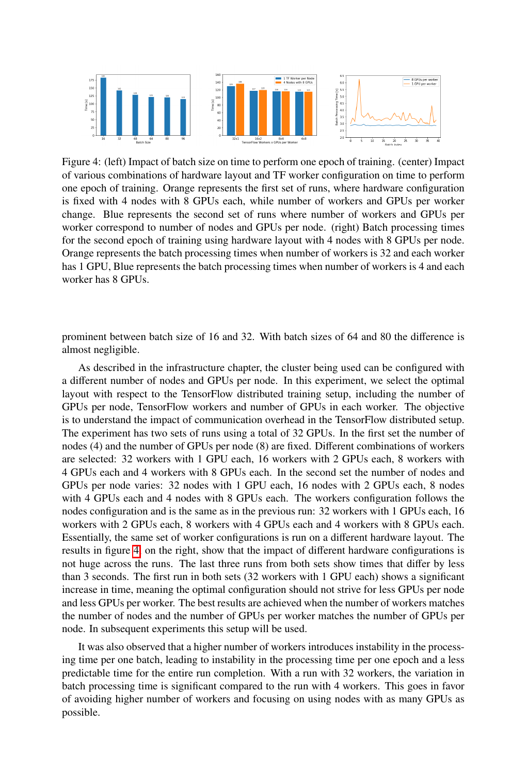<span id="page-6-0"></span>

Figure 4: (left) Impact of batch size on time to perform one epoch of training. (center) Impact of various combinations of hardware layout and TF worker configuration on time to perform one epoch of training. Orange represents the first set of runs, where hardware configuration is fixed with 4 nodes with 8 GPUs each, while number of workers and GPUs per worker change. Blue represents the second set of runs where number of workers and GPUs per worker correspond to number of nodes and GPUs per node. (right) Batch processing times for the second epoch of training using hardware layout with 4 nodes with 8 GPUs per node. Orange represents the batch processing times when number of workers is 32 and each worker has 1 GPU, Blue represents the batch processing times when number of workers is 4 and each worker has 8 GPUs.

prominent between batch size of 16 and 32. With batch sizes of 64 and 80 the difference is almost negligible.

As described in the infrastructure chapter, the cluster being used can be configured with a different number of nodes and GPUs per node. In this experiment, we select the optimal layout with respect to the TensorFlow distributed training setup, including the number of GPUs per node, TensorFlow workers and number of GPUs in each worker. The objective is to understand the impact of communication overhead in the TensorFlow distributed setup. The experiment has two sets of runs using a total of 32 GPUs. In the first set the number of nodes (4) and the number of GPUs per node (8) are fixed. Different combinations of workers are selected: 32 workers with 1 GPU each, 16 workers with 2 GPUs each, 8 workers with 4 GPUs each and 4 workers with 8 GPUs each. In the second set the number of nodes and GPUs per node varies: 32 nodes with 1 GPU each, 16 nodes with 2 GPUs each, 8 nodes with 4 GPUs each and 4 nodes with 8 GPUs each. The workers configuration follows the nodes configuration and is the same as in the previous run: 32 workers with 1 GPUs each, 16 workers with 2 GPUs each, 8 workers with 4 GPUs each and 4 workers with 8 GPUs each. Essentially, the same set of worker configurations is run on a different hardware layout. The results in figure [4,](#page-6-0) on the right, show that the impact of different hardware configurations is not huge across the runs. The last three runs from both sets show times that differ by less than 3 seconds. The first run in both sets (32 workers with 1 GPU each) shows a significant increase in time, meaning the optimal configuration should not strive for less GPUs per node and less GPUs per worker. The best results are achieved when the number of workers matches the number of nodes and the number of GPUs per worker matches the number of GPUs per node. In subsequent experiments this setup will be used.

It was also observed that a higher number of workers introduces instability in the processing time per one batch, leading to instability in the processing time per one epoch and a less predictable time for the entire run completion. With a run with 32 workers, the variation in batch processing time is significant compared to the run with 4 workers. This goes in favor of avoiding higher number of workers and focusing on using nodes with as many GPUs as possible.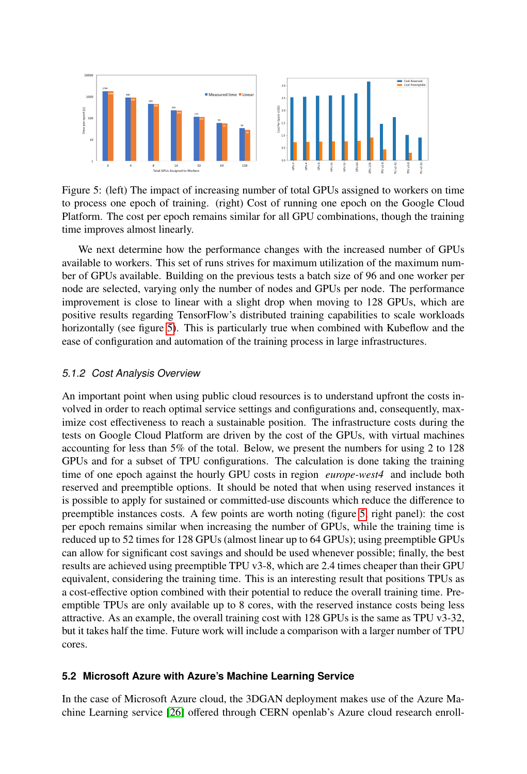<span id="page-7-1"></span>

Figure 5: (left) The impact of increasing number of total GPUs assigned to workers on time to process one epoch of training. (right) Cost of running one epoch on the Google Cloud Platform. The cost per epoch remains similar for all GPU combinations, though the training time improves almost linearly.

We next determine how the performance changes with the increased number of GPUs available to workers. This set of runs strives for maximum utilization of the maximum number of GPUs available. Building on the previous tests a batch size of 96 and one worker per node are selected, varying only the number of nodes and GPUs per node. The performance improvement is close to linear with a slight drop when moving to 128 GPUs, which are positive results regarding TensorFlow's distributed training capabilities to scale workloads horizontally (see figure [5\)](#page-7-1). This is particularly true when combined with Kubeflow and the ease of configuration and automation of the training process in large infrastructures.

#### 5.1.2 Cost Analysis Overview

An important point when using public cloud resources is to understand upfront the costs involved in order to reach optimal service settings and configurations and, consequently, maximize cost effectiveness to reach a sustainable position. The infrastructure costs during the tests on Google Cloud Platform are driven by the cost of the GPUs, with virtual machines accounting for less than 5% of the total. Below, we present the numbers for using 2 to 128 GPUs and for a subset of TPU configurations. The calculation is done taking the training time of one epoch against the hourly GPU costs in region *europe-west4* and include both reserved and preemptible options. It should be noted that when using reserved instances it is possible to apply for sustained or committed-use discounts which reduce the difference to preemptible instances costs. A few points are worth noting (figure [5,](#page-7-1) right panel): the cost per epoch remains similar when increasing the number of GPUs, while the training time is reduced up to 52 times for 128 GPUs (almost linear up to 64 GPUs); using preemptible GPUs can allow for significant cost savings and should be used whenever possible; finally, the best results are achieved using preemptible TPU v3-8, which are 2.4 times cheaper than their GPU equivalent, considering the training time. This is an interesting result that positions TPUs as a cost-effective option combined with their potential to reduce the overall training time. Preemptible TPUs are only available up to 8 cores, with the reserved instance costs being less attractive. As an example, the overall training cost with 128 GPUs is the same as TPU v3-32, but it takes half the time. Future work will include a comparison with a larger number of TPU cores.

#### <span id="page-7-0"></span>**5.2 Microsoft Azure with Azure's Machine Learning Service**

In the case of Microsoft Azure cloud, the 3DGAN deployment makes use of the Azure Machine Learning service [\[26\]](#page-10-18) offered through CERN openlab's Azure cloud research enroll-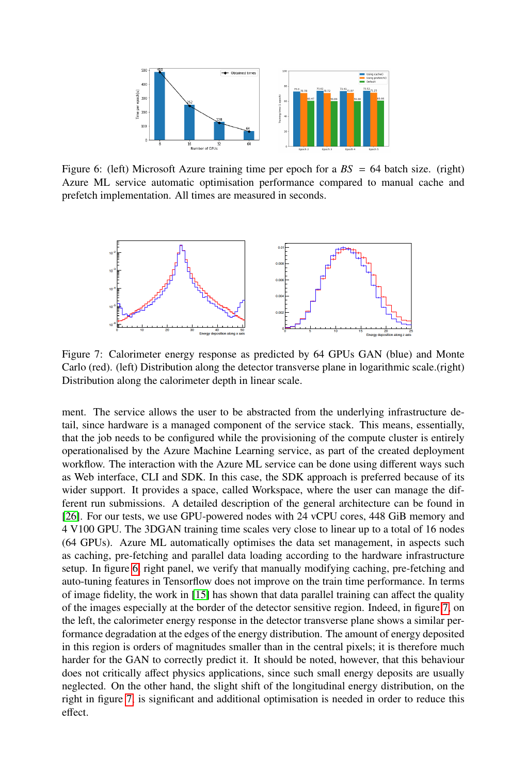<span id="page-8-0"></span>

Figure 6: (left) Microsoft Azure training time per epoch for a *BS* = 64 batch size. (right) Azure ML service automatic optimisation performance compared to manual cache and prefetch implementation. All times are measured in seconds.

<span id="page-8-1"></span>

Figure 7: Calorimeter energy response as predicted by 64 GPUs GAN (blue) and Monte Carlo (red). (left) Distribution along the detector transverse plane in logarithmic scale.(right) Distribution along the calorimeter depth in linear scale.

ment. The service allows the user to be abstracted from the underlying infrastructure detail, since hardware is a managed component of the service stack. This means, essentially, that the job needs to be configured while the provisioning of the compute cluster is entirely operationalised by the Azure Machine Learning service, as part of the created deployment workflow. The interaction with the Azure ML service can be done using different ways such as Web interface, CLI and SDK. In this case, the SDK approach is preferred because of its wider support. It provides a space, called Workspace, where the user can manage the different run submissions. A detailed description of the general architecture can be found in [\[26\]](#page-10-18). For our tests, we use GPU-powered nodes with 24 vCPU cores, 448 GiB memory and 4 V100 GPU. The 3DGAN training time scales very close to linear up to a total of 16 nodes (64 GPUs). Azure ML automatically optimises the data set management, in aspects such as caching, pre-fetching and parallel data loading according to the hardware infrastructure setup. In figure [6,](#page-8-0) right panel, we verify that manually modifying caching, pre-fetching and auto-tuning features in Tensorflow does not improve on the train time performance. In terms of image fidelity, the work in [\[15\]](#page-10-7) has shown that data parallel training can affect the quality of the images especially at the border of the detector sensitive region. Indeed, in figure [7,](#page-8-1) on the left, the calorimeter energy response in the detector transverse plane shows a similar performance degradation at the edges of the energy distribution. The amount of energy deposited in this region is orders of magnitudes smaller than in the central pixels; it is therefore much harder for the GAN to correctly predict it. It should be noted, however, that this behaviour does not critically affect physics applications, since such small energy deposits are usually neglected. On the other hand, the slight shift of the longitudinal energy distribution, on the right in figure [7,](#page-8-1) is significant and additional optimisation is needed in order to reduce this effect.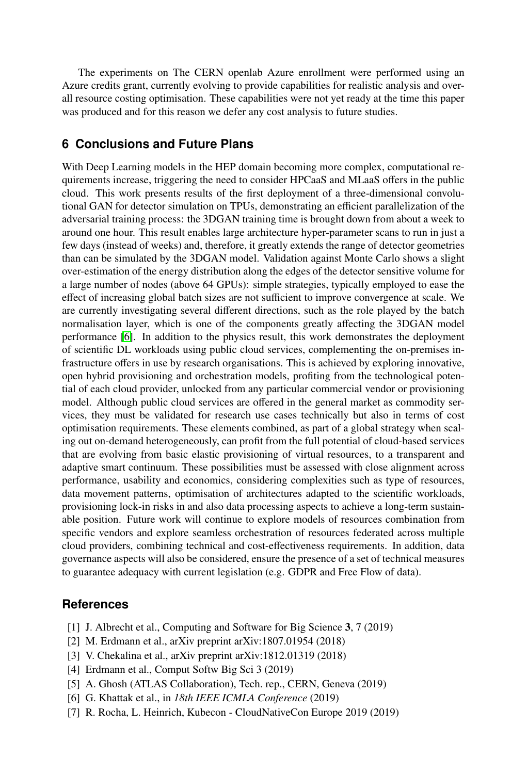The experiments on The CERN openlab Azure enrollment were performed using an Azure credits grant, currently evolving to provide capabilities for realistic analysis and overall resource costing optimisation. These capabilities were not yet ready at the time this paper was produced and for this reason we defer any cost analysis to future studies.

# **6 Conclusions and Future Plans**

With Deep Learning models in the HEP domain becoming more complex, computational requirements increase, triggering the need to consider HPCaaS and MLaaS offers in the public cloud. This work presents results of the first deployment of a three-dimensional convolutional GAN for detector simulation on TPUs, demonstrating an efficient parallelization of the adversarial training process: the 3DGAN training time is brought down from about a week to around one hour. This result enables large architecture hyper-parameter scans to run in just a few days (instead of weeks) and, therefore, it greatly extends the range of detector geometries than can be simulated by the 3DGAN model. Validation against Monte Carlo shows a slight over-estimation of the energy distribution along the edges of the detector sensitive volume for a large number of nodes (above 64 GPUs): simple strategies, typically employed to ease the effect of increasing global batch sizes are not sufficient to improve convergence at scale. We are currently investigating several different directions, such as the role played by the batch normalisation layer, which is one of the components greatly affecting the 3DGAN model performance [\[6\]](#page-9-3). In addition to the physics result, this work demonstrates the deployment of scientific DL workloads using public cloud services, complementing the on-premises infrastructure offers in use by research organisations. This is achieved by exploring innovative, open hybrid provisioning and orchestration models, profiting from the technological potential of each cloud provider, unlocked from any particular commercial vendor or provisioning model. Although public cloud services are offered in the general market as commodity services, they must be validated for research use cases technically but also in terms of cost optimisation requirements. These elements combined, as part of a global strategy when scaling out on-demand heterogeneously, can profit from the full potential of cloud-based services that are evolving from basic elastic provisioning of virtual resources, to a transparent and adaptive smart continuum. These possibilities must be assessed with close alignment across performance, usability and economics, considering complexities such as type of resources, data movement patterns, optimisation of architectures adapted to the scientific workloads, provisioning lock-in risks in and also data processing aspects to achieve a long-term sustainable position. Future work will continue to explore models of resources combination from specific vendors and explore seamless orchestration of resources federated across multiple cloud providers, combining technical and cost-effectiveness requirements. In addition, data governance aspects will also be considered, ensure the presence of a set of technical measures to guarantee adequacy with current legislation (e.g. GDPR and Free Flow of data).

## **References**

- <span id="page-9-0"></span>[1] J. Albrecht et al., Computing and Software for Big Science 3, 7 (2019)
- <span id="page-9-1"></span>[2] M. Erdmann et al., arXiv preprint arXiv:1807.01954 (2018)
- [3] V. Chekalina et al., arXiv preprint arXiv:1812.01319 (2018)
- <span id="page-9-5"></span>[4] Erdmann et al., Comput Softw Big Sci 3 (2019)
- <span id="page-9-2"></span>[5] A. Ghosh (ATLAS Collaboration), Tech. rep., CERN, Geneva (2019)
- <span id="page-9-3"></span>[6] G. Khattak et al., in *18th IEEE ICMLA Conference* (2019)
- <span id="page-9-4"></span>[7] R. Rocha, L. Heinrich, Kubecon - CloudNativeCon Europe 2019 (2019)